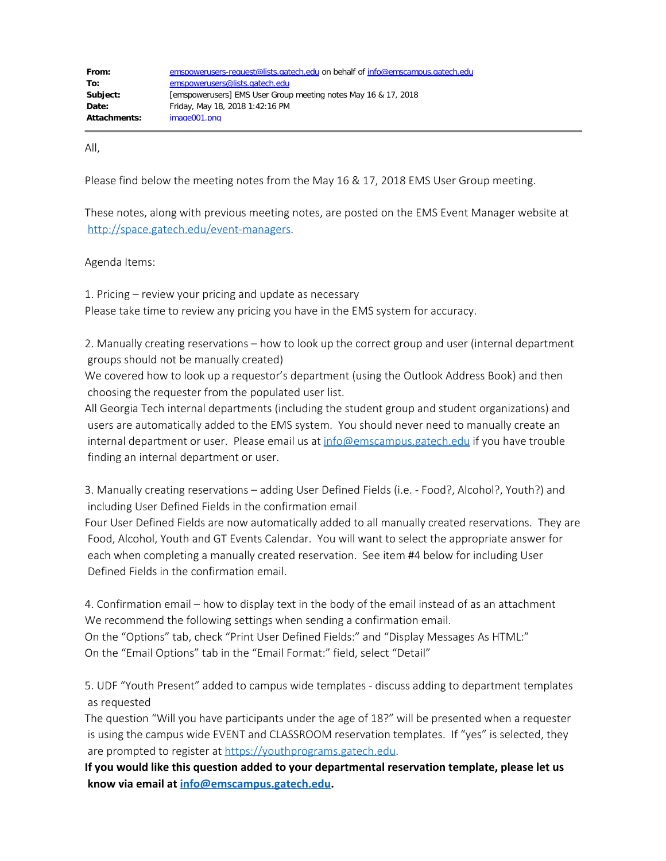All,

Please find below the meeting notes from the May 16 & 17, 2018 EMS User Group meeting.

These notes, along with previous meeting notes, are posted on the EMS Event Manager website at <http://space.gatech.edu/event-managers>.

Agenda Items:

1. Pricing – review your pricing and update as necessary Please take time to review any pricing you have in the EMS system for accuracy.

2. Manually creating reservations – how to look up the correct group and user (internal department groups should not be manually created)

We covered how to look up a requestor's department (using the Outlook Address Book) and then choosing the requester from the populated user list.

All Georgia Tech internal departments (including the student group and student organizations) and users are automatically added to the EMS system. You should never need to manually create an internal department or user. Please email us at [info@emscampus.gatech.edu](mailto:info@emscampus.gatech.edu) if you have trouble finding an internal department or user.

3. Manually creating reservations – adding User Defined Fields (i.e. - Food?, Alcohol?, Youth?) and including User Defined Fields in the confirmation email

Four User Defined Fields are now automatically added to all manually created reservations. They are Food, Alcohol, Youth and GT Events Calendar. You will want to select the appropriate answer for each when completing a manually created reservation. See item #4 below for including User Defined Fields in the confirmation email.

4. Confirmation email – how to display text in the body of the email instead of as an attachment We recommend the following settings when sending a confirmation email. On the "Options" tab, check "Print User Defined Fields:" and "Display Messages As HTML:" On the "Email Options" tab in the "Email Format:" field, select "Detail"

5. UDF "Youth Present" added to campus wide templates - discuss adding to department templates as requested

The question "Will you have participants under the age of 18?" will be presented when a requester is using the campus wide EVENT and CLASSROOM reservation templates. If "yes" is selected, they are prompted to register at [https://youthprograms.gatech.edu](https://youthprograms.gatech.edu/).

**If you would like this question added to your departmental reservation template, please let us know via email at [info@emscampus.gatech.edu](mailto:info@emscampus.gatech.edu).**